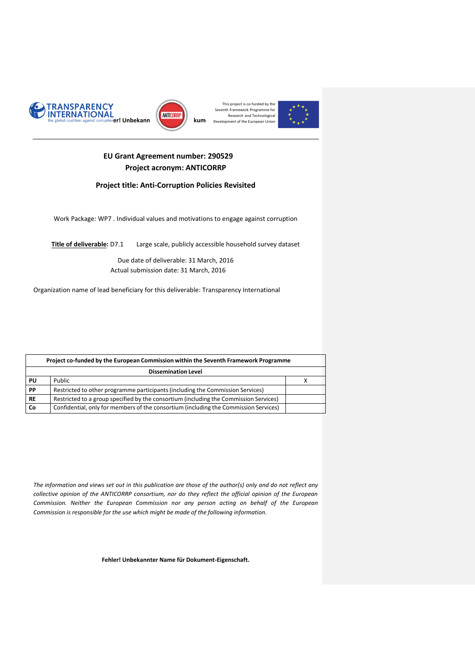





# **EU Grant Agreement number: 290529 Project acronym: ANTICORRP**

## **Project title: Anti-Corruption Policies Revisited**

<span id="page-0-0"></span>Work Package: WP7 . Individual values and motivations to engage against corruption

**Title of deliverable:** D7.1 Large scale, publicly accessible household survey dataset

Due date of deliverable: 31 March, 2016 Actual submission date: 31 March, 2016

Organization name of lead beneficiary for this deliverable: Transparency International

|           | Project co-funded by the European Commission within the Seventh Framework Programme   |           |  |  |  |  |  |  |  |
|-----------|---------------------------------------------------------------------------------------|-----------|--|--|--|--|--|--|--|
|           | <b>Dissemination Level</b>                                                            |           |  |  |  |  |  |  |  |
| PU        | Public                                                                                | $\lambda$ |  |  |  |  |  |  |  |
| PP        | Restricted to other programme participants (including the Commission Services)        |           |  |  |  |  |  |  |  |
| <b>RE</b> | Restricted to a group specified by the consortium (including the Commission Services) |           |  |  |  |  |  |  |  |
| Co        | Confidential, only for members of the consortium (including the Commission Services)  |           |  |  |  |  |  |  |  |

*The information and views set out in this publication are those of the author(s) only and do not reflect any collective opinion of the ANTICORRP consortium, nor do they reflect the official opinion of the European Commission. Neither the European Commission nor any person acting on behalf of the European Commission is responsible for the use which might be made of the following information.*

#### **Fehler! Unbekannter Name für Dokument-Eigenschaft.**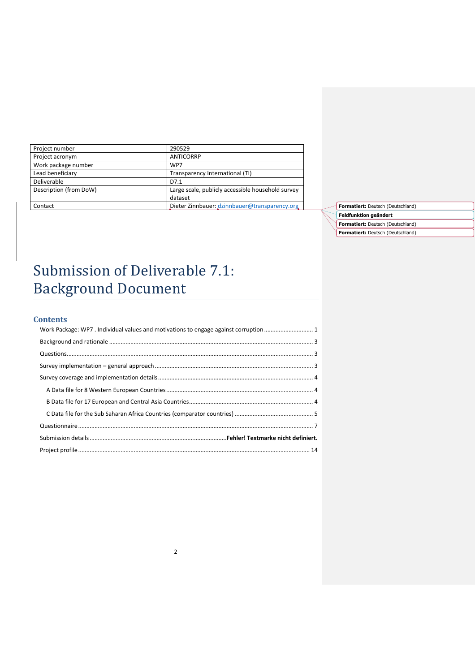| Project number         | 290529                                            |
|------------------------|---------------------------------------------------|
| Project acronym        | <b>ANTICORRP</b>                                  |
| Work package number    | WP7                                               |
| Lead beneficiary       | Transparency International (TI)                   |
| Deliverable            | D7.1                                              |
| Description (from DoW) | Large scale, publicly accessible household survey |
|                        | dataset                                           |
| Contact                | Dieter Zinnbauer: dzinnbauer@transparency.org     |



# Submission of Deliverable 7.1: Background Document

## **Contents**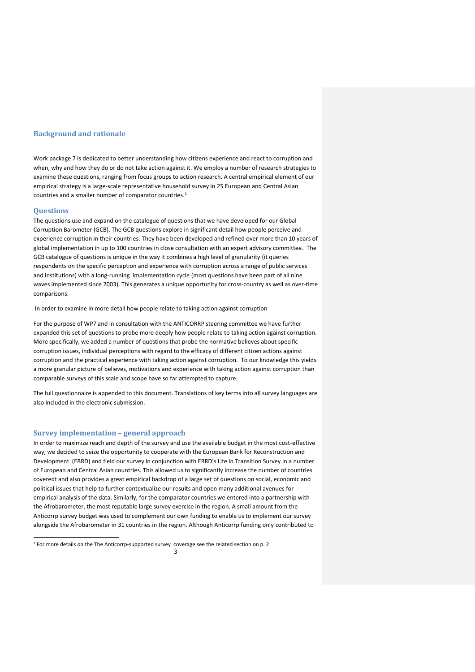#### <span id="page-2-0"></span>**Background and rationale**

Work package 7 is dedicated to better understanding how citizens experience and react to corruption and when, why and how they do or do not take action against it. We employ a number of research strategies to examine these questions, ranging from focus groups to action research. A central empirical element of our empirical strategy is a large-scale representative household survey in 25 European and Central Asian countries and a smaller number of comparator countries.<sup>1</sup>

#### <span id="page-2-1"></span>**Questions**

 $\overline{a}$ 

The questions use and expand on the catalogue of questions that we have developed for our Global Corruption Barometer (GCB). The GCB questions explore in significant detail how people perceive and experience corruption in their countries. They have been developed and refined over more than 10 years of global implementation in up to 100 countries in close consultation with an expert advisory committee. The GCB catalogue of questions is unique in the way it combines a high level of granularity (it queries respondents on the specific perception and experience with corruption across a range of public services and institutions) with a long-running implementation cycle (most questions have been part of all nine waves implemented since 2003). This generates a unique opportunity for cross-country as well as over-time comparisons.

#### In order to examine in more detail how people relate to taking action against corruption

For the purpose of WP7 and in consultation with the ANTICORRP steering committee we have further expanded this set of questions to probe more deeply how people relate to taking action against corruption. More specifically, we added a number of questions that probe the normative believes about specific corruption issues, individual perceptions with regard to the efficacy of different citizen actions against corruption and the practical experience with taking action against corruption. To our knowledge this yields a more granular picture of believes, motivations and experience with taking action against corruption than comparable surveys of this scale and scope have so far attempted to capture.

The full questionnaire is appended to this document. Translations of key terms into all survey languages are also included in the electronic submission.

## <span id="page-2-2"></span>**Survey implementation – general approach**

In order to maximize reach and depth of the survey and use the available budget in the most cost-effective way, we decided to seize the opportunity to cooperate with the European Bank for Reconstruction and Development (EBRD) and field our survey in conjunction with EBRD's Life in Transition Survey in a number of European and Central Asian countries. This allowed us to significantly increase the number of countries coveredt and also provides a great empirical backdrop of a large set of questions on social, economic and political issues that help to further contextualize our results and open many additional avenues for empirical analysis of the data. Similarly, for the comparator countries we entered into a partnership with the Afrobarometer, the most reputable large survey exercise in the region. A small amount from the Anticorrp survey budget was used to complement our own funding to enable us to implement our survey alongside the Afrobarometer in 31 countries in the region. Although Anticorrp funding only contributed to

<sup>&</sup>lt;sup>1</sup> For more details on the The Anticorrp-supported survey coverage see the related section on p. 2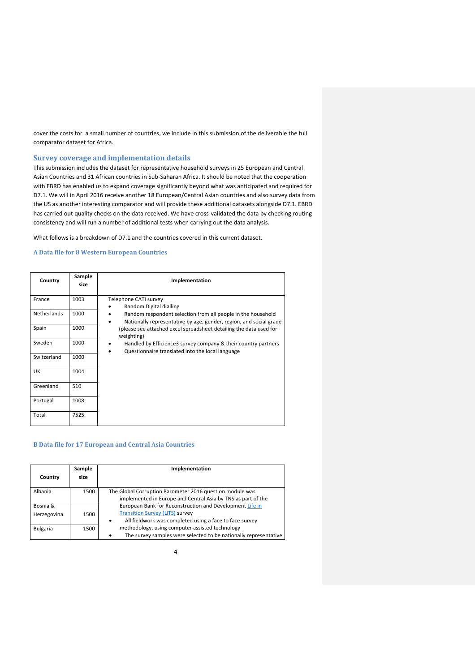cover the costs for a small number of countries, we include in this submission of the deliverable the full comparator dataset for Africa.

#### <span id="page-3-0"></span>**Survey coverage and implementation details**

This submission includes the dataset for representative household surveys in 25 European and Central Asian Countries and 31 African countries in Sub-Saharan Africa. It should be noted that the cooperation with EBRD has enabled us to expand coverage significantly beyond what was anticipated and required for D7.1. We will in April 2016 receive another 18 European/Central Asian countries and also survey data from the US as another interesting comparator and will provide these additional datasets alongside D7.1. EBRD has carried out quality checks on the data received. We have cross-validated the data by checking routing consistency and will run a number of additional tests when carrying out the data analysis.

What follows is a breakdown of D7.1 and the countries covered in this current dataset.

#### <span id="page-3-1"></span>**A Data file for 8 Western European Countries**

| Country            | Sample<br>size | Implementation                                                                                                                          |
|--------------------|----------------|-----------------------------------------------------------------------------------------------------------------------------------------|
| France             | 1003           | Telephone CATI survey<br>Random Digital dialling<br>$\bullet$                                                                           |
| <b>Netherlands</b> | 1000           | Random respondent selection from all people in the household<br>٠<br>Nationally representative by age, gender, region, and social grade |
| Spain              | 1000           | (please see attached excel spreadsheet detailing the data used for<br>weighting)                                                        |
| Sweden             | 1000           | Handled by Efficience3 survey company & their country partners<br>٠<br>Questionnaire translated into the local language                 |
| Switzerland        | 1000           |                                                                                                                                         |
| <b>UK</b>          | 1004           |                                                                                                                                         |
| Greenland          | 510            |                                                                                                                                         |
| Portugal           | 1008           |                                                                                                                                         |
| Total              | 7525           |                                                                                                                                         |

#### <span id="page-3-2"></span>**B Data file for 17 European and Central Asia Countries**

|             | Sample | Implementation                                                                                                           |
|-------------|--------|--------------------------------------------------------------------------------------------------------------------------|
| Country     | size   |                                                                                                                          |
| Albania     | 1500   | The Global Corruption Barometer 2016 question module was<br>implemented in Europe and Central Asia by TNS as part of the |
| Bosnia &    |        | European Bank for Reconstruction and Development Life in                                                                 |
| Herzegovina | 1500   | <b>Transition Survey (LITS) survey</b><br>All fieldwork was completed using a face to face survey<br>٠                   |
| Bulgaria    | 1500   | methodology, using computer assisted technology                                                                          |
|             |        | The survey samples were selected to be nationally representative<br>٠                                                    |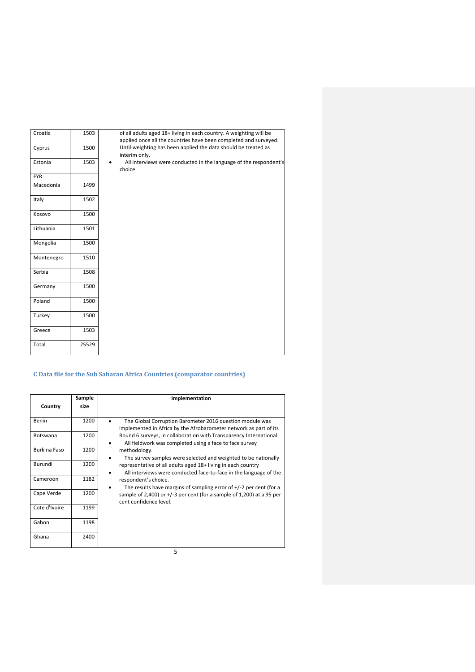| Croatia    | 1503  | of all adults aged 18+ living in each country. A weighting will be<br>applied once all the countries have been completed and surveyed. |
|------------|-------|----------------------------------------------------------------------------------------------------------------------------------------|
| Cyprus     | 1500  | Until weighting has been applied the data should be treated as<br>interim only.                                                        |
| Estonia    | 1503  | All interviews were conducted in the language of the respondent's<br>choice                                                            |
| <b>FYR</b> |       |                                                                                                                                        |
| Macedonia  | 1499  |                                                                                                                                        |
| Italy      | 1502  |                                                                                                                                        |
| Kosovo     | 1500  |                                                                                                                                        |
| Lithuania  | 1501  |                                                                                                                                        |
| Mongolia   | 1500  |                                                                                                                                        |
| Montenegro | 1510  |                                                                                                                                        |
| Serbia     | 1508  |                                                                                                                                        |
| Germany    | 1500  |                                                                                                                                        |
| Poland     | 1500  |                                                                                                                                        |
| Turkey     | 1500  |                                                                                                                                        |
| Greece     | 1503  |                                                                                                                                        |
| Total      | 25529 |                                                                                                                                        |

# <span id="page-4-0"></span>**C Data file for the Sub Saharan Africa Countries (comparator countries)**

|                 | Sample | Implementation                                                                                                                    |
|-----------------|--------|-----------------------------------------------------------------------------------------------------------------------------------|
| Country         | size   |                                                                                                                                   |
| Benin           | 1200   | The Global Corruption Barometer 2016 question module was<br>implemented in Africa by the Afrobarometer network as part of its     |
| <b>Botswana</b> | 1200   | Round 6 surveys, in collaboration with Transparency International.<br>All fieldwork was completed using a face to face survey     |
| Burkina Faso    | 1200   | methodology.<br>The survey samples were selected and weighted to be nationally                                                    |
| Burundi         | 1200   | representative of all adults aged 18+ living in each country<br>All interviews were conducted face-to-face in the language of the |
| Cameroon        | 1182   | respondent's choice.<br>The results have margins of sampling error of $+/-2$ per cent (for a                                      |
| Cape Verde      | 1200   | sample of 2,400) or $+/-3$ per cent (for a sample of 1,200) at a 95 per<br>cent confidence level.                                 |
| Cote d'Ivoire   | 1199   |                                                                                                                                   |
| Gabon           | 1198   |                                                                                                                                   |
| Ghana           | 2400   |                                                                                                                                   |
|                 |        | 5                                                                                                                                 |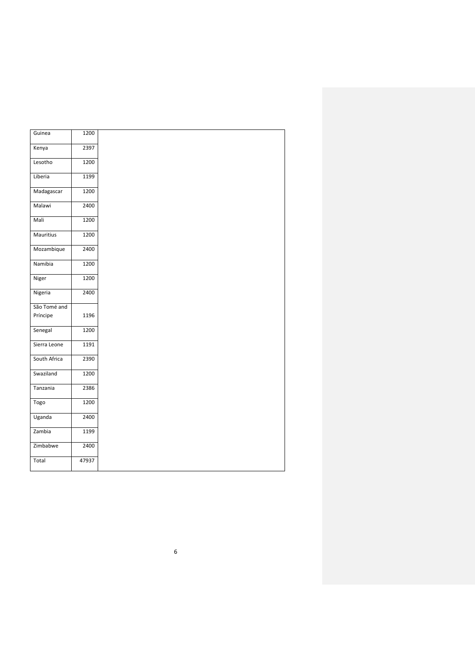| Guinea       | 1200  |
|--------------|-------|
| Kenya        | 2397  |
| Lesotho      | 1200  |
| Liberia      | 1199  |
| Madagascar   | 1200  |
| Malawi       | 2400  |
| Mali         | 1200  |
| Mauritius    | 1200  |
| Mozambique   | 2400  |
| Namibia      | 1200  |
| Niger        | 1200  |
| Nigeria      | 2400  |
| São Tomé and |       |
| Príncipe     | 1196  |
| Senegal      | 1200  |
| Sierra Leone | 1191  |
| South Africa | 2390  |
| Swaziland    | 1200  |
| Tanzania     | 2386  |
| Togo         | 1200  |
| Uganda       | 2400  |
| Zambia       | 1199  |
| Zimbabwe     | 2400  |
| Total        | 47937 |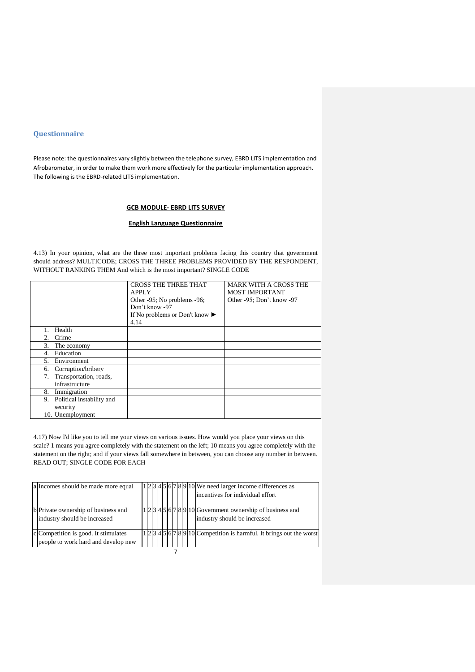#### <span id="page-6-0"></span>**Questionnaire**

Please note: the questionnaires vary slightly between the telephone survey, EBRD LITS implementation and Afrobarometer, in order to make them work more effectively for the particular implementation approach. The following is the EBRD-related LITS implementation.

## **GCB MODULE- EBRD LITS SURVEY**

## **English Language Questionnaire**

4.13) In your opinion, what are the three most important problems facing this country that government should address? MULTICODE; CROSS THE THREE PROBLEMS PROVIDED BY THE RESPONDENT, WITHOUT RANKING THEM And which is the most important? SINGLE CODE

|                                 | <b>CROSS THE THREE THAT</b>                        | <b>MARK WITH A CROSS THE</b> |
|---------------------------------|----------------------------------------------------|------------------------------|
|                                 | <b>APPLY</b>                                       | <b>MOST IMPORTANT</b>        |
|                                 | Other -95; No problems -96;                        | Other -95; Don't know -97    |
|                                 | Don't know -97                                     |                              |
|                                 | If No problems or Don't know $\blacktriangleright$ |                              |
|                                 | 4.14                                               |                              |
| Health<br>1.                    |                                                    |                              |
| Crime<br>2.                     |                                                    |                              |
| 3.<br>The economy               |                                                    |                              |
| Education<br>4.                 |                                                    |                              |
| 5.<br>Environment               |                                                    |                              |
| Corruption/bribery<br>6.        |                                                    |                              |
| Transportation, roads,<br>7.    |                                                    |                              |
| infrastructure                  |                                                    |                              |
| 8.<br>Immigration               |                                                    |                              |
| Political instability and<br>9. |                                                    |                              |
| security                        |                                                    |                              |
| 10. Unemployment                |                                                    |                              |

4.17) Now I'd like you to tell me your views on various issues. How would you place your views on this scale? 1 means you agree completely with the statement on the left; 10 means you agree completely with the statement on the right; and if your views fall somewhere in between, you can choose any number in between. READ OUT; SINGLE CODE FOR EACH

| a Incomes should be made more equal                                         |  |  |  |  |  | $1 2 3 4 5 6 7 8 9 10$ We need larger income differences as<br>incentives for individual effort |
|-----------------------------------------------------------------------------|--|--|--|--|--|-------------------------------------------------------------------------------------------------|
| b Private ownership of business and<br>industry should be increased         |  |  |  |  |  | 1 2 3 4 5 6 7 8 9 10 Government ownership of business and<br>industry should be increased       |
| c Competition is good. It stimulates<br>people to work hard and develop new |  |  |  |  |  | [2] 145 6 7 8 9 10 Competition is harmful. It brings out the worst                              |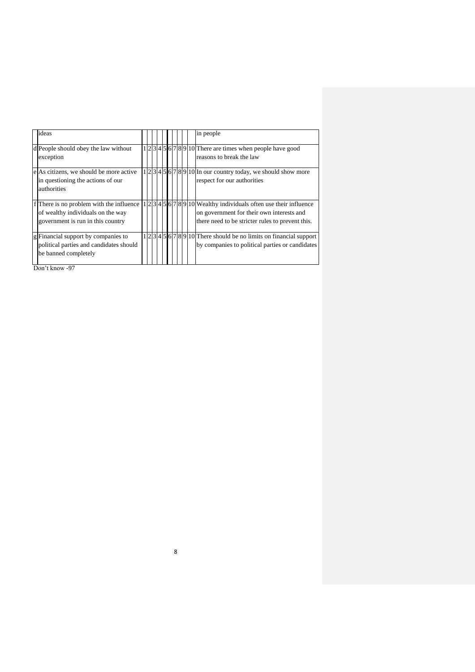| ideas                                                                                                               |  |  |  |  |  | in people                                                                                                                                                              |
|---------------------------------------------------------------------------------------------------------------------|--|--|--|--|--|------------------------------------------------------------------------------------------------------------------------------------------------------------------------|
| d People should obey the law without<br>exception                                                                   |  |  |  |  |  | $1 2 3 4 5 6 7 8 9 10 $ There are times when people have good<br>reasons to break the law                                                                              |
| e As citizens, we should be more active<br>in questioning the actions of our<br>authorities                         |  |  |  |  |  | $1 2 3 4 5 6 7 8 9 10 $ In our country today, we should show more<br>respect for our authorities                                                                       |
| If There is no problem with the influence<br>of wealthy individuals on the way<br>government is run in this country |  |  |  |  |  | $1 2 3 4 5 6 7 8 9 10 $ Wealthy individuals often use their influence<br>on government for their own interests and<br>there need to be stricter rules to prevent this. |
| g Financial support by companies to<br>political parties and candidates should<br>be banned completely              |  |  |  |  |  | 1 2 3 4 5 6 7 8 9 10 There should be no limits on financial support<br>by companies to political parties or candidates                                                 |

8

Don't know -97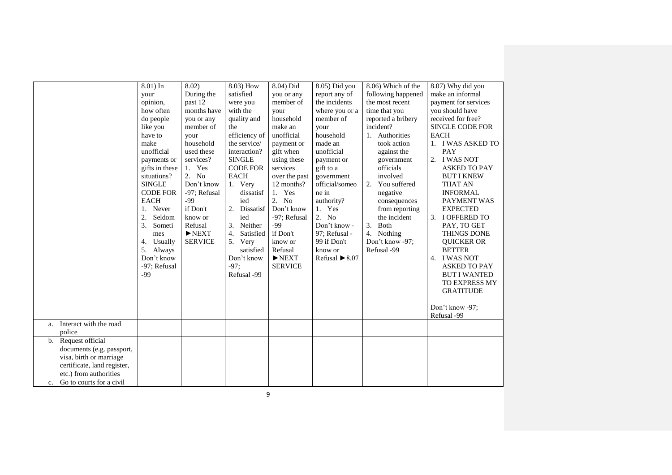| Interact with the road<br>a.<br>police<br>b. Request official<br>documents (e.g. passport,<br>visa, birth or marriage<br>certificate, land register, | 8.01) In<br>your<br>opinion,<br>how often<br>do people<br>like you<br>have to<br>make<br>unofficial<br>payments or<br>gifts in these<br>situations?<br><b>SINGLE</b><br><b>CODE FOR</b><br><b>EACH</b><br>Never<br>1.<br>2.<br>Seldom<br>3.<br>Someti<br>mes<br>Usually<br>4.<br>5. Always<br>Don't know<br>-97; Refusal<br>$-99$ | 8.02)<br>During the<br>past 12<br>months have<br>you or any<br>member of<br>your<br>household<br>used these<br>services?<br>1. Yes<br>2.<br>N <sub>o</sub><br>Don't know<br>-97; Refusal<br>$-99$<br>if Don't<br>know or<br>Refusal<br>$\blacktriangleright$ NEXT<br><b>SERVICE</b> | 8.03) How<br>satisfied<br>were you<br>with the<br>quality and<br>the<br>efficiency of<br>the service/<br>interaction?<br><b>SINGLE</b><br><b>CODE FOR</b><br><b>EACH</b><br>1. Very<br>dissatisf<br>ied<br>2. Dissatisf<br>ied<br>3. Neither<br>4.<br>Satisfied<br>5. Very<br>satisfied<br>Don't know<br>$-97:$<br>Refusal -99 | 8.04) Did<br>you or any<br>member of<br>your<br>household<br>make an<br>unofficial<br>payment or<br>gift when<br>using these<br>services<br>over the past<br>12 months?<br>1. Yes<br>2. No<br>Don't know<br>-97; Refusal<br>$-99$<br>if Don't<br>know or<br>Refusal<br>$\blacktriangleright$ NEXT<br><b>SERVICE</b> | 8.05) Did you<br>report any of<br>the incidents<br>where you or a<br>member of<br>your<br>household<br>made an<br>unofficial<br>payment or<br>gift to a<br>government<br>official/someo<br>ne in<br>authority?<br>1. Yes<br>2. No<br>Don't know -<br>97; Refusal -<br>99 if Don't<br>know or<br>Refusal $\blacktriangleright$ 8.07 | 8.06) Which of the<br>following happened<br>the most recent<br>time that you<br>reported a bribery<br>incident?<br>1. Authorities<br>took action<br>against the<br>government<br>officials<br>involved<br>2. You suffered<br>negative<br>consequences<br>from reporting<br>the incident<br>3. Both<br>4. Nothing<br>Don't know -97;<br>Refusal -99 | 8.07) Why did you<br>make an informal<br>payment for services<br>you should have<br>received for free?<br><b>SINGLE CODE FOR</b><br><b>EACH</b><br>1. I WAS ASKED TO<br>PAY<br>2. I WAS NOT<br><b>ASKED TO PAY</b><br><b>BUT I KNEW</b><br><b>THAT AN</b><br><b>INFORMAL</b><br>PAYMENT WAS<br><b>EXPECTED</b><br>I OFFERED TO<br>3.<br>PAY, TO GET<br><b>THINGS DONE</b><br><b>QUICKER OR</b><br><b>BETTER</b><br>4. I WAS NOT<br><b>ASKED TO PAY</b><br><b>BUT I WANTED</b><br>TO EXPRESS MY<br><b>GRATITUDE</b><br>Don't know -97;<br>Refusal -99 |
|------------------------------------------------------------------------------------------------------------------------------------------------------|-----------------------------------------------------------------------------------------------------------------------------------------------------------------------------------------------------------------------------------------------------------------------------------------------------------------------------------|-------------------------------------------------------------------------------------------------------------------------------------------------------------------------------------------------------------------------------------------------------------------------------------|--------------------------------------------------------------------------------------------------------------------------------------------------------------------------------------------------------------------------------------------------------------------------------------------------------------------------------|---------------------------------------------------------------------------------------------------------------------------------------------------------------------------------------------------------------------------------------------------------------------------------------------------------------------|------------------------------------------------------------------------------------------------------------------------------------------------------------------------------------------------------------------------------------------------------------------------------------------------------------------------------------|----------------------------------------------------------------------------------------------------------------------------------------------------------------------------------------------------------------------------------------------------------------------------------------------------------------------------------------------------|------------------------------------------------------------------------------------------------------------------------------------------------------------------------------------------------------------------------------------------------------------------------------------------------------------------------------------------------------------------------------------------------------------------------------------------------------------------------------------------------------------------------------------------------------|
| etc.) from authorities                                                                                                                               |                                                                                                                                                                                                                                                                                                                                   |                                                                                                                                                                                                                                                                                     |                                                                                                                                                                                                                                                                                                                                |                                                                                                                                                                                                                                                                                                                     |                                                                                                                                                                                                                                                                                                                                    |                                                                                                                                                                                                                                                                                                                                                    |                                                                                                                                                                                                                                                                                                                                                                                                                                                                                                                                                      |
| Go to courts for a civil<br>$c_{\rm}$                                                                                                                |                                                                                                                                                                                                                                                                                                                                   |                                                                                                                                                                                                                                                                                     |                                                                                                                                                                                                                                                                                                                                |                                                                                                                                                                                                                                                                                                                     |                                                                                                                                                                                                                                                                                                                                    |                                                                                                                                                                                                                                                                                                                                                    |                                                                                                                                                                                                                                                                                                                                                                                                                                                                                                                                                      |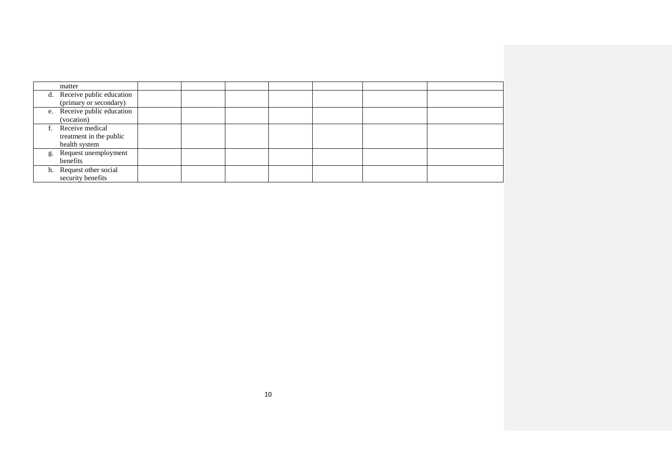| matter                      |  |  |  |  |
|-----------------------------|--|--|--|--|
| d. Receive public education |  |  |  |  |
| (primary or secondary)      |  |  |  |  |
| e. Receive public education |  |  |  |  |
| (vocation)                  |  |  |  |  |
| Receive medical             |  |  |  |  |
| treatment in the public     |  |  |  |  |
| health system               |  |  |  |  |
| g. Request unemployment     |  |  |  |  |
| benefits                    |  |  |  |  |
| h. Request other social     |  |  |  |  |
| security benefits           |  |  |  |  |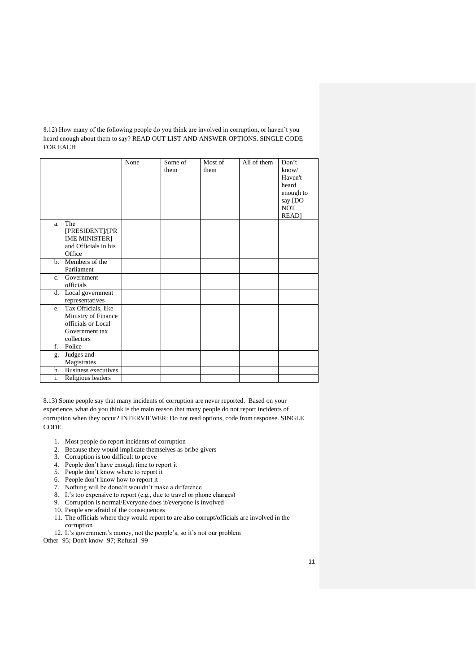8.12) How many of the following people do you think are involved in corruption, or haven't you heard enough about them to say? READ OUT LIST AND ANSWER OPTIONS. SINGLE CODE FOR EACH

|                  |                            | None | Some of | Most of | All of them | Don't       |
|------------------|----------------------------|------|---------|---------|-------------|-------------|
|                  |                            |      | them    | them    |             | know/       |
|                  |                            |      |         |         |             | Haven't     |
|                  |                            |      |         |         |             | heard       |
|                  |                            |      |         |         |             | enough to   |
|                  |                            |      |         |         |             | say [DO     |
|                  |                            |      |         |         |             | <b>NOT</b>  |
|                  |                            |      |         |         |             | <b>READ</b> |
| a.               | The                        |      |         |         |             |             |
|                  | [PRESIDENT]/[PR            |      |         |         |             |             |
|                  | <b>IME MINISTER]</b>       |      |         |         |             |             |
|                  | and Officials in his       |      |         |         |             |             |
|                  | Office                     |      |         |         |             |             |
| $h_{-}$          | Members of the             |      |         |         |             |             |
|                  | Parliament                 |      |         |         |             |             |
| $\mathbf{c}$ .   | Government                 |      |         |         |             |             |
|                  | officials                  |      |         |         |             |             |
| d.               | Local government           |      |         |         |             |             |
|                  | representatives            |      |         |         |             |             |
| e.               | Tax Officials, like        |      |         |         |             |             |
|                  | Ministry of Finance        |      |         |         |             |             |
|                  | officials or Local         |      |         |         |             |             |
|                  | Government tax             |      |         |         |             |             |
|                  | collectors                 |      |         |         |             |             |
| f.               | Police                     |      |         |         |             |             |
| g.               | Judges and                 |      |         |         |             |             |
|                  | Magistrates                |      |         |         |             |             |
| h.               | <b>Business executives</b> |      |         |         |             |             |
| $\overline{i}$ . | Religious leaders          |      |         |         |             |             |

8.13) Some people say that many incidents of corruption are never reported. Based on your experience, what do you think is the main reason that many people do not report incidents of corruption when they occur? INTERVIEWER: Do not read options, code from response. SINGLE CODE.

- 1. Most people do report incidents of corruption
- 2. Because they would implicate themselves as bribe-givers
- 3. Corruption is too difficult to prove
- 4. People don't have enough time to report it
- 5. People don't know where to report it
- 6. People don't know how to report it
- 7. Nothing will be done/It wouldn't make a difference
- 8. It's too expensive to report (e.g., due to travel or phone charges)
- 9. Corruption is normal/Everyone does it/everyone is involved
- 10. People are afraid of the consequences
- 11. The officials where they would report to are also corrupt/officials are involved in the corruption
- 12. It's government's money, not the people's, so it's not our problem
- Other -95; Don't know -97; Refusal -99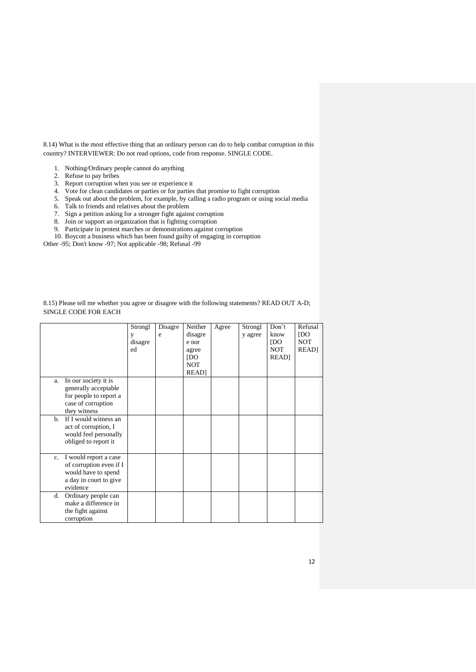8.14) What is the most effective thing that an ordinary person can do to help combat corruption in this country? INTERVIEWER: Do not read options, code from response. SINGLE CODE.

- 1. Nothing/Ordinary people cannot do anything
- 2. Refuse to pay bribes
- 3. Report corruption when you see or experience it
- 4. Vote for clean candidates or parties or for parties that promise to fight corruption
- 5. Speak out about the problem, for example, by calling a radio program or using social media
- 6. Talk to friends and relatives about the problem
- 7. Sign a petition asking for a stronger fight against corruption
- 8. Join or support an organization that is fighting corruption
- 9. Participate in protest marches or demonstrations against corruption
- 10. Boycott a business which has been found guilty of engaging in corruption

Other -95; Don't know -97; Not applicable -98; Refusal -99

|             |                                                                                                               | Strongl<br>y<br>disagre<br>ed | Disagre<br>e | Neither<br>disagre<br>e nor<br>agree<br>[DO]<br><b>NOT</b><br>READ] | Agree | Strongl<br>y agree | Don't<br>know<br>[DO]<br><b>NOT</b><br><b>READ</b> | Refusal<br>[DO]<br><b>NOT</b><br><b>READ</b> |
|-------------|---------------------------------------------------------------------------------------------------------------|-------------------------------|--------------|---------------------------------------------------------------------|-------|--------------------|----------------------------------------------------|----------------------------------------------|
| a.          | In our society it is<br>generally acceptable<br>for people to report a<br>case of corruption<br>they witness  |                               |              |                                                                     |       |                    |                                                    |                                              |
| b.          | If I would witness an<br>act of corruption, I<br>would feel personally<br>obliged to report it                |                               |              |                                                                     |       |                    |                                                    |                                              |
| $c_{\cdot}$ | I would report a case<br>of corruption even if I<br>would have to spend<br>a day in court to give<br>evidence |                               |              |                                                                     |       |                    |                                                    |                                              |
| d.          | Ordinary people can<br>make a difference in<br>the fight against<br>corruption                                |                               |              |                                                                     |       |                    |                                                    |                                              |

8.15) Please tell me whether you agree or disagree with the following statements? READ OUT A-D; SINGLE CODE FOR EACH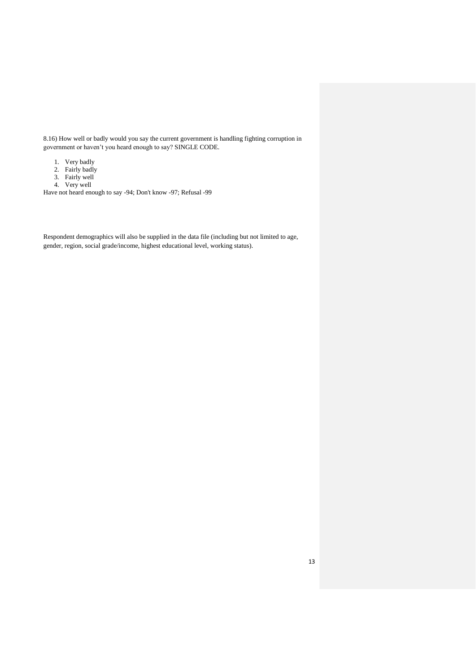8.16) How well or badly would you say the current government is handling fighting corruption in government or haven't you heard enough to say? SINGLE CODE.

- 1. Very badly
- 2. Fairly badly
- 3. Fairly well
- 4. Very well

Have not heard enough to say -94; Don't know -97; Refusal -99

Respondent demographics will also be supplied in the data file (including but not limited to age, gender, region, social grade/income, highest educational level, working status).